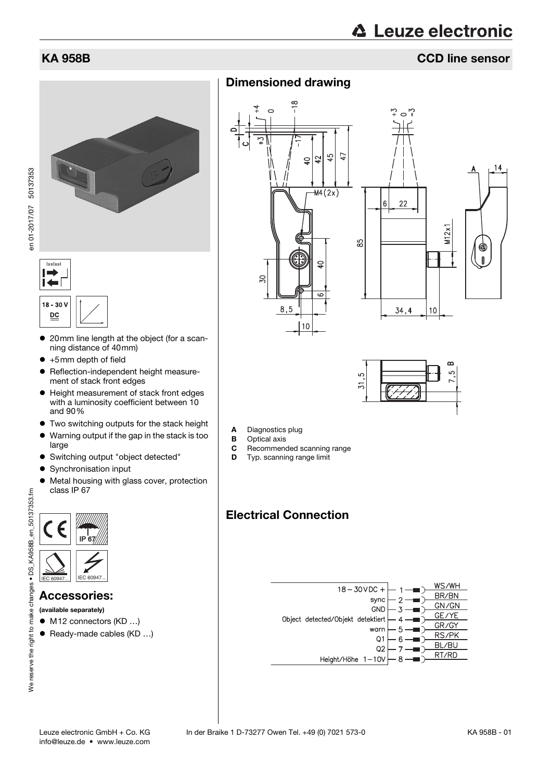## KA 958B CCD line sensor





**Turchan** 

- 20mm line length at the object (for a scanning distance of 40mm)
- +5mm depth of field
- Reflection-independent height measurement of stack front edges
- Height measurement of stack front edges with a luminosity coefficient between 10 and 90%
- Two switching outputs for the stack height
- Warning output if the gap in the stack is too large
- Switching output "object detected"
- Synchronisation input
- Metal housing with glass cover, protection class IP 67



### Accessories:

- (available separately)
- M12 connectors (KD ...)
- Ready-made cables (KD ...)

Dimensioned drawing





- A Diagnostics plug
- **B** Optical axis<br>**C** Recommend
- Recommended scanning range
- **D** Typ. scanning range limit

# Electrical Connection